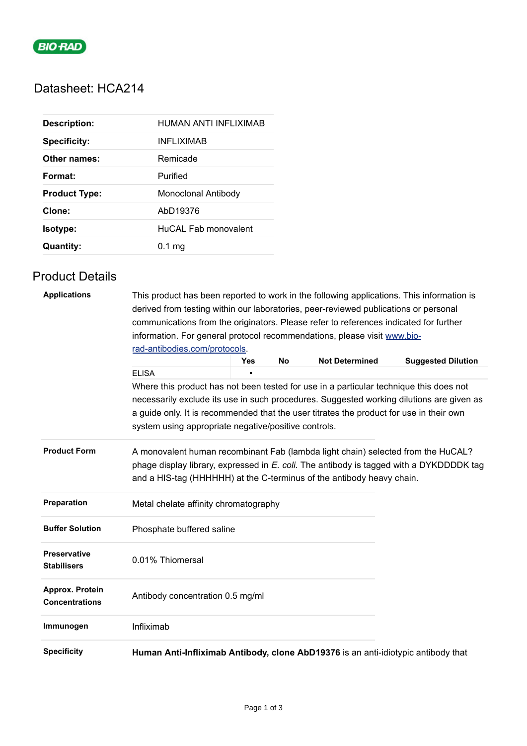

# Datasheet: HCA214

| <b>Description:</b>  | HUMAN ANTI INFLIXIMAB |
|----------------------|-----------------------|
| <b>Specificity:</b>  | <b>INFLIXIMAB</b>     |
| Other names:         | Remicade              |
| Format:              | Purified              |
| <b>Product Type:</b> | Monoclonal Antibody   |
| Clone:               | AbD19376              |
| Isotype:             | HuCAL Fab monovalent  |
| <b>Quantity:</b>     | 0.1 <sub>ma</sub>     |

## Product Details

| <b>Applications</b>                       | This product has been reported to work in the following applications. This information is<br>derived from testing within our laboratories, peer-reviewed publications or personal                                                                    |   |  |  |  |  |  |
|-------------------------------------------|------------------------------------------------------------------------------------------------------------------------------------------------------------------------------------------------------------------------------------------------------|---|--|--|--|--|--|
|                                           | communications from the originators. Please refer to references indicated for further<br>information. For general protocol recommendations, please visit www.bio-<br>rad-antibodies.com/protocols.                                                   |   |  |  |  |  |  |
|                                           |                                                                                                                                                                                                                                                      |   |  |  |  |  |  |
|                                           |                                                                                                                                                                                                                                                      |   |  |  |  |  |  |
|                                           | <b>ELISA</b>                                                                                                                                                                                                                                         | n |  |  |  |  |  |
|                                           | Where this product has not been tested for use in a particular technique this does not                                                                                                                                                               |   |  |  |  |  |  |
|                                           | necessarily exclude its use in such procedures. Suggested working dilutions are given as<br>a guide only. It is recommended that the user titrates the product for use in their own<br>system using appropriate negative/positive controls.          |   |  |  |  |  |  |
| <b>Product Form</b>                       | A monovalent human recombinant Fab (lambda light chain) selected from the HuCAL?<br>phage display library, expressed in E. coli. The antibody is tagged with a DYKDDDDK tag<br>and a HIS-tag (HHHHHH) at the C-terminus of the antibody heavy chain. |   |  |  |  |  |  |
| Preparation                               | Metal chelate affinity chromatography                                                                                                                                                                                                                |   |  |  |  |  |  |
| <b>Buffer Solution</b>                    | Phosphate buffered saline                                                                                                                                                                                                                            |   |  |  |  |  |  |
| <b>Preservative</b><br><b>Stabilisers</b> | 0.01% Thiomersal                                                                                                                                                                                                                                     |   |  |  |  |  |  |
| Approx. Protein<br><b>Concentrations</b>  | Antibody concentration 0.5 mg/ml                                                                                                                                                                                                                     |   |  |  |  |  |  |
| Immunogen                                 | Infliximab                                                                                                                                                                                                                                           |   |  |  |  |  |  |
| <b>Specificity</b>                        | Human Anti-Infliximab Antibody, clone AbD19376 is an anti-idiotypic antibody that                                                                                                                                                                    |   |  |  |  |  |  |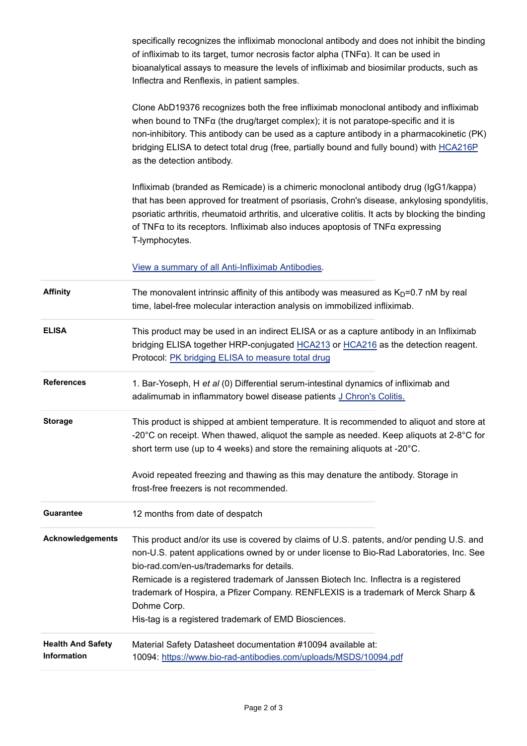specifically recognizes the infliximab monoclonal antibody and does not inhibit the binding of infliximab to its target, tumor necrosis factor alpha (TNFα). It can be used in bioanalytical assays to measure the levels of infliximab and biosimilar products, such as Inflectra and Renflexis, in patient samples.

Clone AbD19376 recognizes both the free infliximab monoclonal antibody and infliximab when bound to TNFα (the drug/target complex); it is not paratope-specific and it is non-inhibitory. This antibody can be used as a capture antibody in a pharmacokinetic (PK) bridging ELISA to detect total drug (free, partially bound and fully bound) with [HCA216P](https://www.bio-rad-antibodies.com/infliximab-antibody-abd19376-higg1-hca216p.html) as the detection antibody.

Infliximab (branded as Remicade) is a chimeric monoclonal antibody drug (IgG1/kappa) that has been approved for treatment of psoriasis, Crohn's disease, ankylosing spondylitis, psoriatic arthritis, rheumatoid arthritis, and ulcerative colitis. It acts by blocking the binding of TNFα to its receptors. Infliximab also induces apoptosis of TNFα expressing T-lymphocytes.

[View a summary of all Anti-Infliximab Antibodies.](https://www.bio-rad-antibodies.com/anti-infliximab-antibody-remicade.html)

| <b>Affinity</b>                                | The monovalent intrinsic affinity of this antibody was measured as $KD=0.7$ nM by real<br>time, label-free molecular interaction analysis on immobilized infliximab.                                                                                                                    |
|------------------------------------------------|-----------------------------------------------------------------------------------------------------------------------------------------------------------------------------------------------------------------------------------------------------------------------------------------|
| <b>ELISA</b>                                   | This product may be used in an indirect ELISA or as a capture antibody in an Infliximab<br>bridging ELISA together HRP-conjugated HCA213 or HCA216 as the detection reagent.<br>Protocol: PK bridging ELISA to measure total drug                                                       |
| <b>References</b>                              | 1. Bar-Yoseph, H et al (0) Differential serum-intestinal dynamics of infliximab and<br>adalimumab in inflammatory bowel disease patients J Chron's Colitis.                                                                                                                             |
| <b>Storage</b>                                 | This product is shipped at ambient temperature. It is recommended to aliquot and store at<br>-20 $^{\circ}$ C on receipt. When thawed, aliquot the sample as needed. Keep aliquots at 2-8 $^{\circ}$ C for<br>short term use (up to 4 weeks) and store the remaining aliquots at -20°C. |
|                                                | Avoid repeated freezing and thawing as this may denature the antibody. Storage in<br>frost-free freezers is not recommended.                                                                                                                                                            |
| <b>Guarantee</b>                               | 12 months from date of despatch                                                                                                                                                                                                                                                         |
| <b>Acknowledgements</b>                        | This product and/or its use is covered by claims of U.S. patents, and/or pending U.S. and<br>non-U.S. patent applications owned by or under license to Bio-Rad Laboratories, Inc. See<br>bio-rad.com/en-us/trademarks for details.                                                      |
|                                                | Remicade is a registered trademark of Janssen Biotech Inc. Inflectra is a registered<br>trademark of Hospira, a Pfizer Company. RENFLEXIS is a trademark of Merck Sharp &<br>Dohme Corp.                                                                                                |
|                                                | His-tag is a registered trademark of EMD Biosciences.                                                                                                                                                                                                                                   |
| <b>Health And Safety</b><br><b>Information</b> | Material Safety Datasheet documentation #10094 available at:<br>10094: https://www.bio-rad-antibodies.com/uploads/MSDS/10094.pdf                                                                                                                                                        |